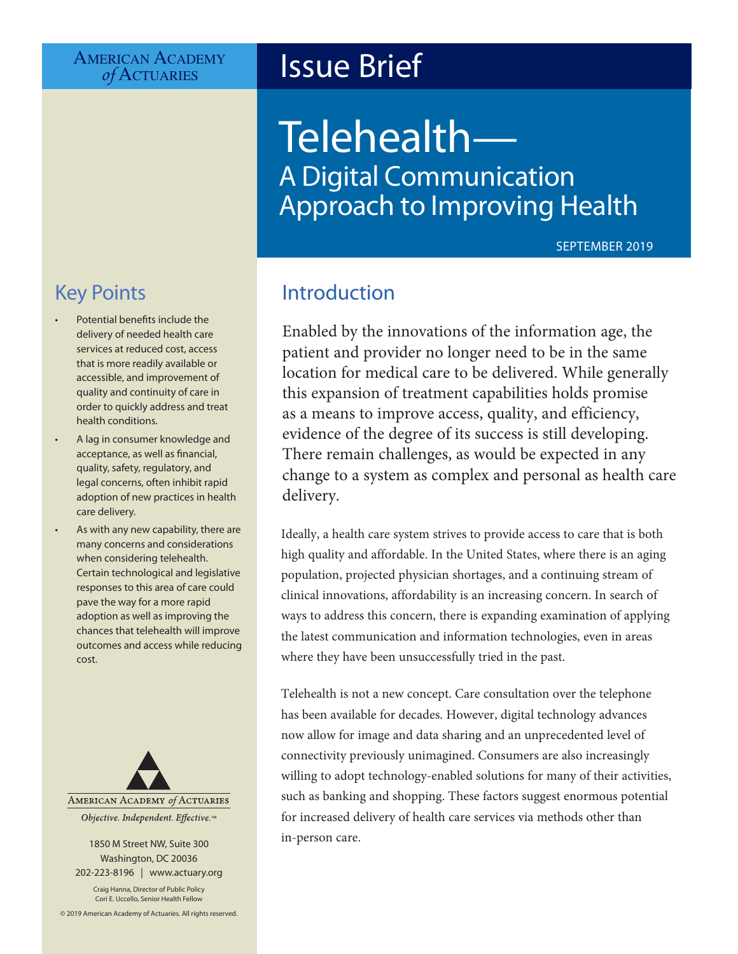## AMERICAN ACADEMY<br> *of* ACTUARIES

## **Issue Brief**

# Telehealth— A Digital Communication Approach to Improving Health

SEPTEMBER 2019

## Key Points

- Potential benefits include the delivery of needed health care services at reduced cost, access that is more readily available or accessible, and improvement of quality and continuity of care in order to quickly address and treat health conditions.
- A lag in consumer knowledge and acceptance, as well as financial, quality, safety, regulatory, and legal concerns, often inhibit rapid adoption of new practices in health care delivery.
- As with any new capability, there are many concerns and considerations when considering telehealth. Certain technological and legislative responses to this area of care could pave the way for a more rapid adoption as well as improving the chances that telehealth will improve outcomes and access while reducing cost.



1850 M Street NW, Suite 300 Washington, DC 20036 202-223-8196 | [www.actuary.org](http://actuary.org)

Craig Hanna, Director of Public Policy Cori E. Uccello, Senior Health Fellow

© 2019 American Academy of Actuaries. All rights reserved.

## Introduction

Enabled by the innovations of the information age, the patient and provider no longer need to be in the same location for medical care to be delivered. While generally this expansion of treatment capabilities holds promise as a means to improve access, quality, and efficiency, evidence of the degree of its success is still developing. There remain challenges, as would be expected in any change to a system as complex and personal as health care delivery.

Ideally, a health care system strives to provide access to care that is both high quality and affordable. In the United States, where there is an aging population, projected physician shortages, and a continuing stream of clinical innovations, affordability is an increasing concern. In search of ways to address this concern, there is expanding examination of applying the latest communication and information technologies, even in areas where they have been unsuccessfully tried in the past.

Telehealth is not a new concept. Care consultation over the telephone has been available for decades. However, digital technology advances now allow for image and data sharing and an unprecedented level of connectivity previously unimagined. Consumers are also increasingly willing to adopt technology-enabled solutions for many of their activities, such as banking and shopping. These factors suggest enormous potential for increased delivery of health care services via methods other than in-person care.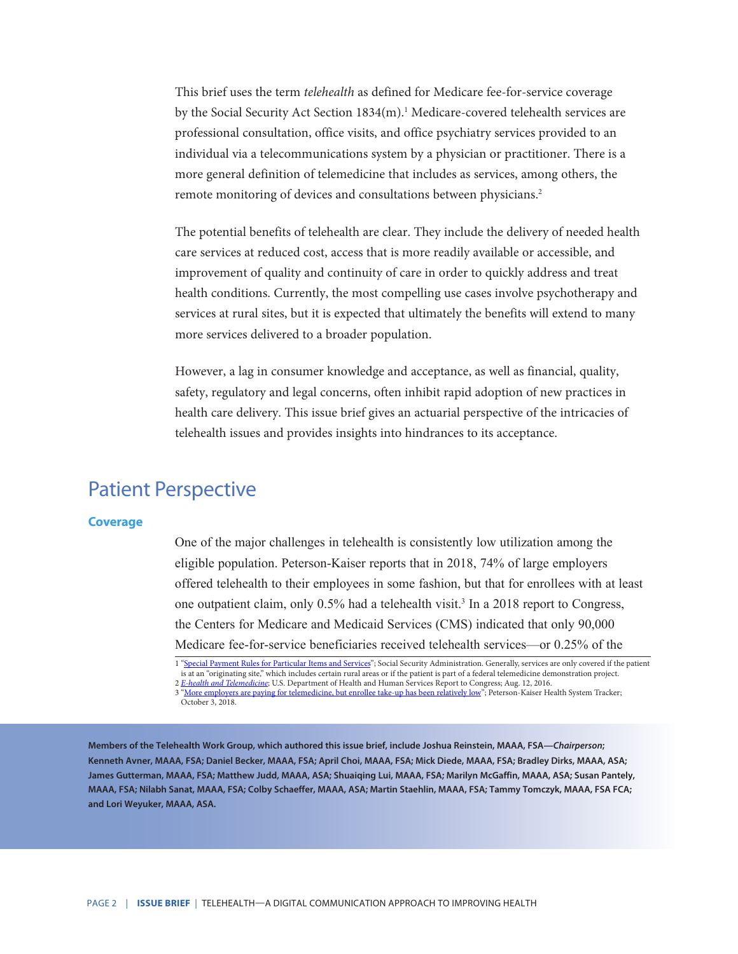This brief uses the term *telehealth* as defined for Medicare fee-for-service coverage by the Social Security Act Section 1834(m).<sup>1</sup> Medicare-covered telehealth services are professional consultation, office visits, and office psychiatry services provided to an individual via a telecommunications system by a physician or practitioner. There is a more general definition of telemedicine that includes as services, among others, the remote monitoring of devices and consultations between physicians.<sup>2</sup>

The potential benefits of telehealth are clear. They include the delivery of needed health care services at reduced cost, access that is more readily available or accessible, and improvement of quality and continuity of care in order to quickly address and treat health conditions. Currently, the most compelling use cases involve psychotherapy and services at rural sites, but it is expected that ultimately the benefits will extend to many more services delivered to a broader population.

However, a lag in consumer knowledge and acceptance, as well as financial, quality, safety, regulatory and legal concerns, often inhibit rapid adoption of new practices in health care delivery. This issue brief gives an actuarial perspective of the intricacies of telehealth issues and provides insights into hindrances to its acceptance.

## Patient Perspective

#### **Coverage**

One of the major challenges in telehealth is consistently low utilization among the eligible population. Peterson-Kaiser reports that in 2018, 74% of large employers offered telehealth to their employees in some fashion, but that for enrollees with at least one outpatient claim, only 0.5% had a telehealth visit.<sup>3</sup> In a 2018 report to Congress, the Centers for Medicare and Medicaid Services (CMS) indicated that only 90,000 Medicare fee-for-service beneficiaries received telehealth services—or 0.25% of the

1 "[Special Payment Rules for Particular Items and Services"](https://www.ssa.gov/OP_Home/ssact/title18/1834.htm); Social Security Administration. Generally, services are only covered if the patient is at an "originating site," which includes certain rural areas or if the patient is part of a federal telemedicine demonstration project.

2 *[E-health and Telemedicine](https://aspe.hhs.gov/system/files/pdf/206751/TelemedicineE-HealthReport.pdf)*; U.S. Department of Health and Human Services Report to Congress; Aug. 12, 2016. 3 "[More employers are paying for telemedicine, but enrollee take-up has been relatively low"](https://www.kff.org/health-costs/issue-brief/more-employers-are-paying-for-telemedicine/); Peterson-Kaiser Health System Tracker; October 3, 2018.

**Members of the Telehealth Work Group, which authored this issue brief, include Joshua Reinstein, MAAA, FSA—***Chairperson***; Kenneth Avner, MAAA, FSA; Daniel Becker, MAAA, FSA; April Choi, MAAA, FSA; Mick Diede, MAAA, FSA; Bradley Dirks, MAAA, ASA; James Gutterman, MAAA, FSA; Matthew Judd, MAAA, ASA; Shuaiqing Lui, MAAA, FSA; Marilyn McGaffin, MAAA, ASA; Susan Pantely, MAAA, FSA; Nilabh Sanat, MAAA, FSA; Colby Schaeffer, MAAA, ASA; Martin Staehlin, MAAA, FSA; Tammy Tomczyk, MAAA, FSA FCA; and Lori Weyuker, MAAA, ASA.**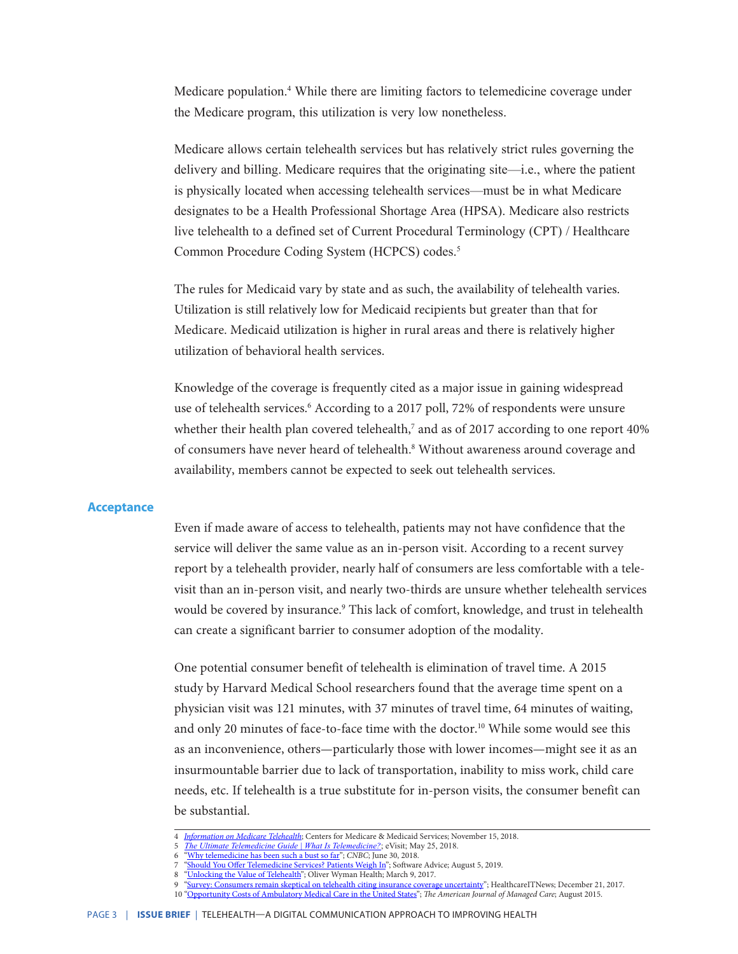Medicare population.<sup>4</sup> While there are limiting factors to telemedicine coverage under the Medicare program, this utilization is very low nonetheless.

Medicare allows certain telehealth services but has relatively strict rules governing the delivery and billing. Medicare requires that the originating site—i.e., where the patient is physically located when accessing telehealth services—must be in what Medicare designates to be a Health Professional Shortage Area (HPSA). Medicare also restricts live telehealth to a defined set of Current Procedural Terminology (CPT) / Healthcare Common Procedure Coding System (HCPCS) codes.5

The rules for Medicaid vary by state and as such, the availability of telehealth varies. Utilization is still relatively low for Medicaid recipients but greater than that for Medicare. Medicaid utilization is higher in rural areas and there is relatively higher utilization of behavioral health services.

Knowledge of the coverage is frequently cited as a major issue in gaining widespread use of telehealth services.<sup>6</sup> According to a 2017 poll, 72% of respondents were unsure whether their health plan covered telehealth, $^7$  and as of 2017 according to one report 40% of consumers have never heard of telehealth.<sup>8</sup> Without awareness around coverage and availability, members cannot be expected to seek out telehealth services.

#### **Acceptance**

Even if made aware of access to telehealth, patients may not have confidence that the service will deliver the same value as an in-person visit. According to a recent survey report by a telehealth provider, nearly half of consumers are less comfortable with a televisit than an in-person visit, and nearly two-thirds are unsure whether telehealth services would be covered by insurance.<sup>9</sup> This lack of comfort, knowledge, and trust in telehealth can create a significant barrier to consumer adoption of the modality.

One potential consumer benefit of telehealth is elimination of travel time. A 2015 study by Harvard Medical School researchers found that the average time spent on a physician visit was 121 minutes, with 37 minutes of travel time, 64 minutes of waiting, and only 20 minutes of face-to-face time with the doctor.<sup>10</sup> While some would see this as an inconvenience, others—particularly those with lower incomes—might see it as an insurmountable barrier due to lack of transportation, inability to miss work, child care needs, etc. If telehealth is a true substitute for in-person visits, the consumer benefit can be substantial.

<sup>4</sup> *[Information on Medicare Telehealth](https://www.cms.gov/About-CMS/Agency-Information/OMH/Downloads/Information-on-Medicare-Telehealth-Report.pdf)*; Centers for Medicare & Medicaid Services; November 15, 2018. 5 *[The Ultimate Telemedicine Guide | What Is Telemedicine?](https://evisit.com/resources/what-is-telemedicine/)*; eVisit; May 25, 2018.

<sup>6</sup> ["Why telemedicine has been such a bust so far"](https://www.cnbc.com/2018/06/29/why-telemedicine-is-a-bust.html); *CNBC*; June 30, 2018.

<sup>7</sup> ["Should You Offer Telemedicine Services? Patients Weigh In](https://www.softwareadvice.com/resources/should-you-offer-telemedicine-services/)"; Software Advice; August 5, 2019.

<sup>8</sup> ["Unlocking the Value of Telehealth"](https://health.oliverwyman.com/2017/03/unlocking_the_value.html); Oliver Wyman Health; March 9, 2017.

<sup>9</sup> ["Survey: Consumers remain skeptical on telehealth citing insurance coverage uncertainty](https://www.healthcareitnews.com/news/survey-consumers-remain-skeptical-telehealth-citing-insurance-coverage-uncertainty)"; HealthcareITNews; December 21, 2017.

<sup>10</sup> ["Opportunity Costs of Ambulatory Medical Care in the United States"](https://www.ajmc.com/journals/issue/2015/2015-vol21-n8/opportunity-costs-of-ambulatory-medical-care-in-the-united-states); *The American Journal of Managed Care*; August 2015.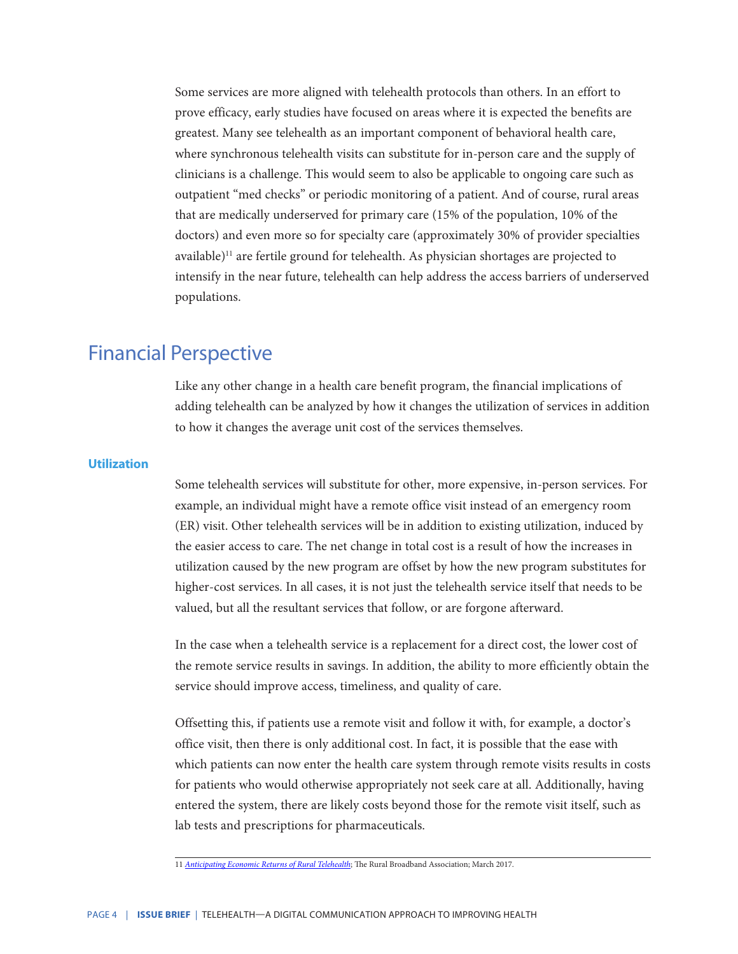Some services are more aligned with telehealth protocols than others. In an effort to prove efficacy, early studies have focused on areas where it is expected the benefits are greatest. Many see telehealth as an important component of behavioral health care, where synchronous telehealth visits can substitute for in-person care and the supply of clinicians is a challenge. This would seem to also be applicable to ongoing care such as outpatient "med checks" or periodic monitoring of a patient. And of course, rural areas that are medically underserved for primary care (15% of the population, 10% of the doctors) and even more so for specialty care (approximately 30% of provider specialties available)<sup>11</sup> are fertile ground for telehealth. As physician shortages are projected to intensify in the near future, telehealth can help address the access barriers of underserved populations.

### Financial Perspective

Like any other change in a health care benefit program, the financial implications of adding telehealth can be analyzed by how it changes the utilization of services in addition to how it changes the average unit cost of the services themselves.

#### **Utilization**

Some telehealth services will substitute for other, more expensive, in-person services. For example, an individual might have a remote office visit instead of an emergency room (ER) visit. Other telehealth services will be in addition to existing utilization, induced by the easier access to care. The net change in total cost is a result of how the increases in utilization caused by the new program are offset by how the new program substitutes for higher-cost services. In all cases, it is not just the telehealth service itself that needs to be valued, but all the resultant services that follow, or are forgone afterward.

In the case when a telehealth service is a replacement for a direct cost, the lower cost of the remote service results in savings. In addition, the ability to more efficiently obtain the service should improve access, timeliness, and quality of care.

Offsetting this, if patients use a remote visit and follow it with, for example, a doctor's office visit, then there is only additional cost. In fact, it is possible that the ease with which patients can now enter the health care system through remote visits results in costs for patients who would otherwise appropriately not seek care at all. Additionally, having entered the system, there are likely costs beyond those for the remote visit itself, such as lab tests and prescriptions for pharmaceuticals.

<sup>11</sup> *[Anticipating Economic Returns of Rural Telehealth](https://www.ntca.org/sites/default/files/documents/2017-12/SRC_whitepaper_anticipatingeconomicreturns.pdf)*; The Rural Broadband Association; March 2017.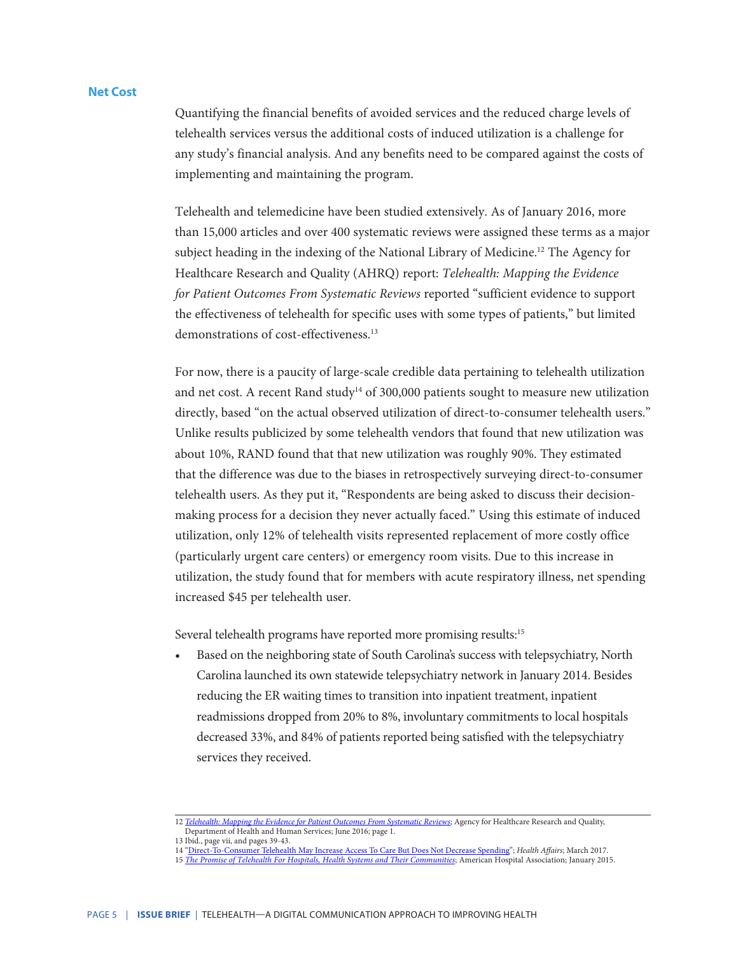#### **Net Cost**

Quantifying the financial benefits of avoided services and the reduced charge levels of telehealth services versus the additional costs of induced utilization is a challenge for any study's financial analysis. And any benefits need to be compared against the costs of implementing and maintaining the program.

Telehealth and telemedicine have been studied extensively. As of January 2016, more than 15,000 articles and over 400 systematic reviews were assigned these terms as a major subject heading in the indexing of the National Library of Medicine.<sup>12</sup> The Agency for Healthcare Research and Quality (AHRQ) report: *Telehealth: Mapping the Evidence for Patient Outcomes From Systematic Reviews* reported "sufficient evidence to support the effectiveness of telehealth for specific uses with some types of patients," but limited demonstrations of cost-effectiveness.<sup>13</sup>

For now, there is a paucity of large-scale credible data pertaining to telehealth utilization and net cost. A recent Rand study<sup>14</sup> of 300,000 patients sought to measure new utilization directly, based "on the actual observed utilization of direct-to-consumer telehealth users." Unlike results publicized by some telehealth vendors that found that new utilization was about 10%, RAND found that that new utilization was roughly 90%. They estimated that the difference was due to the biases in retrospectively surveying direct-to-consumer telehealth users. As they put it, "Respondents are being asked to discuss their decisionmaking process for a decision they never actually faced." Using this estimate of induced utilization, only 12% of telehealth visits represented replacement of more costly office (particularly urgent care centers) or emergency room visits. Due to this increase in utilization, the study found that for members with acute respiratory illness, net spending increased \$45 per telehealth user.

Several telehealth programs have reported more promising results:<sup>15</sup>

• Based on the neighboring state of South Carolina's success with telepsychiatry, North Carolina launched its own statewide telepsychiatry network in January 2014. Besides reducing the ER waiting times to transition into inpatient treatment, inpatient readmissions dropped from 20% to 8%, involuntary commitments to local hospitals decreased 33%, and 84% of patients reported being satisfied with the telepsychiatry services they received.

- 14 ["Direct-To-Consumer Telehealth May Increase Access To Care But Does Not Decrease Spending"](https://www.rand.org/pubs/external_publications/EP67074.html); *Health Affairs*; March 2017.
- 15 *[The Promise of Telehealth For Hospitals, Health Systems and Their Communities](https://www.aha.org/system/files/research/reports/tw/15jan-tw-telehealth.pdf)*; American Hospital Association; January 2015.

<sup>12</sup> *[Telehealth: Mapping the Evidence for Patient Outcomes From Systematic Reviews](https://www.ncbi.nlm.nih.gov/books/NBK379320/pdf/Bookshelf_NBK379320.pdf)*; Agency for Healthcare Research and Quality, Department of Health and Human Services; June 2016; page 1.

<sup>13</sup> Ibid., page vii, and pages 39-43.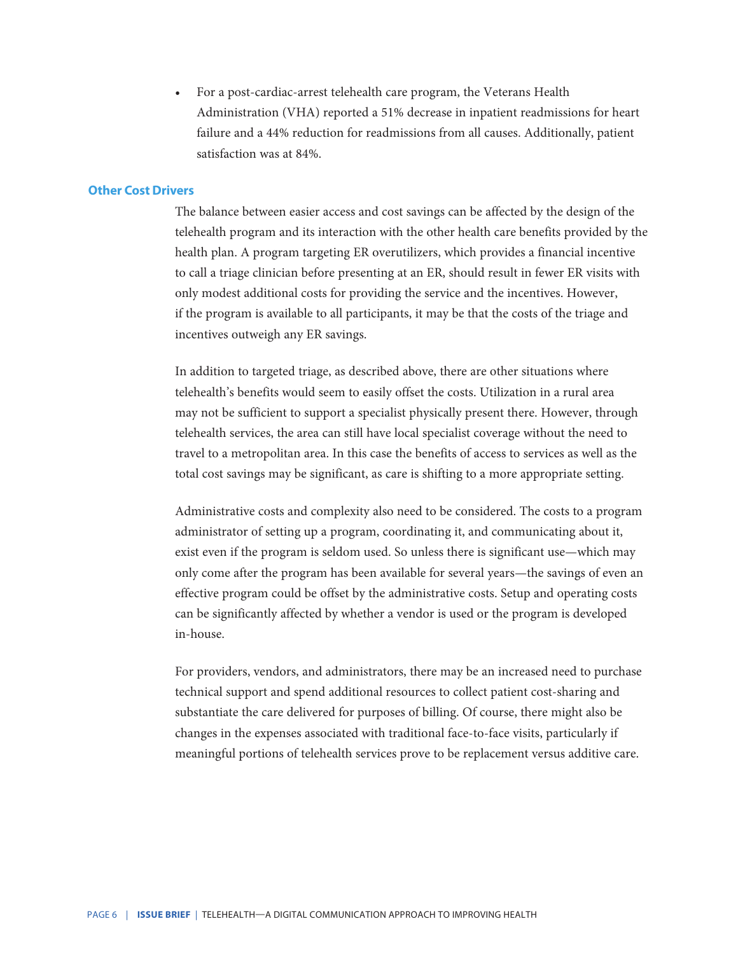• For a post-cardiac-arrest telehealth care program, the Veterans Health Administration (VHA) reported a 51% decrease in inpatient readmissions for heart failure and a 44% reduction for readmissions from all causes. Additionally, patient satisfaction was at 84%.

#### **Other Cost Drivers**

The balance between easier access and cost savings can be affected by the design of the telehealth program and its interaction with the other health care benefits provided by the health plan. A program targeting ER overutilizers, which provides a financial incentive to call a triage clinician before presenting at an ER, should result in fewer ER visits with only modest additional costs for providing the service and the incentives. However, if the program is available to all participants, it may be that the costs of the triage and incentives outweigh any ER savings.

In addition to targeted triage, as described above, there are other situations where telehealth's benefits would seem to easily offset the costs. Utilization in a rural area may not be sufficient to support a specialist physically present there. However, through telehealth services, the area can still have local specialist coverage without the need to travel to a metropolitan area. In this case the benefits of access to services as well as the total cost savings may be significant, as care is shifting to a more appropriate setting.

Administrative costs and complexity also need to be considered. The costs to a program administrator of setting up a program, coordinating it, and communicating about it, exist even if the program is seldom used. So unless there is significant use—which may only come after the program has been available for several years—the savings of even an effective program could be offset by the administrative costs. Setup and operating costs can be significantly affected by whether a vendor is used or the program is developed in-house.

For providers, vendors, and administrators, there may be an increased need to purchase technical support and spend additional resources to collect patient cost-sharing and substantiate the care delivered for purposes of billing. Of course, there might also be changes in the expenses associated with traditional face-to-face visits, particularly if meaningful portions of telehealth services prove to be replacement versus additive care.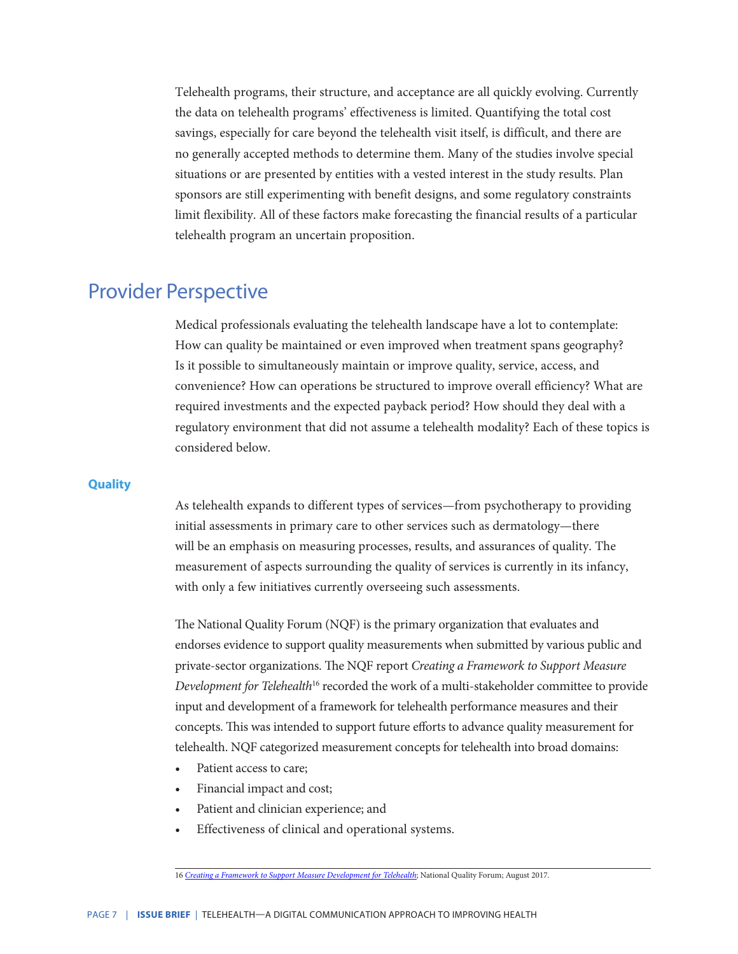Telehealth programs, their structure, and acceptance are all quickly evolving. Currently the data on telehealth programs' effectiveness is limited. Quantifying the total cost savings, especially for care beyond the telehealth visit itself, is difficult, and there are no generally accepted methods to determine them. Many of the studies involve special situations or are presented by entities with a vested interest in the study results. Plan sponsors are still experimenting with benefit designs, and some regulatory constraints limit flexibility. All of these factors make forecasting the financial results of a particular telehealth program an uncertain proposition.

### Provider Perspective

Medical professionals evaluating the telehealth landscape have a lot to contemplate: How can quality be maintained or even improved when treatment spans geography? Is it possible to simultaneously maintain or improve quality, service, access, and convenience? How can operations be structured to improve overall efficiency? What are required investments and the expected payback period? How should they deal with a regulatory environment that did not assume a telehealth modality? Each of these topics is considered below.

#### **Quality**

As telehealth expands to different types of services—from psychotherapy to providing initial assessments in primary care to other services such as dermatology—there will be an emphasis on measuring processes, results, and assurances of quality. The measurement of aspects surrounding the quality of services is currently in its infancy, with only a few initiatives currently overseeing such assessments.

The National Quality Forum (NQF) is the primary organization that evaluates and endorses evidence to support quality measurements when submitted by various public and private-sector organizations. The NQF report *Creating a Framework to Support Measure Development for Telehealth*<sup>16</sup> recorded the work of a multi-stakeholder committee to provide input and development of a framework for telehealth performance measures and their concepts. This was intended to support future efforts to advance quality measurement for telehealth. NQF categorized measurement concepts for telehealth into broad domains:

- Patient access to care;
- Financial impact and cost;
- Patient and clinician experience; and
- Effectiveness of clinical and operational systems.

16 *[Creating a Framework to Support Measure Development for Telehealth](http://www.qualityforum.org/Publications/2017/08/Creating_a_Framework_to_Support_Measure_Development_for_Telehealth.aspx)*; National Quality Forum; August 2017.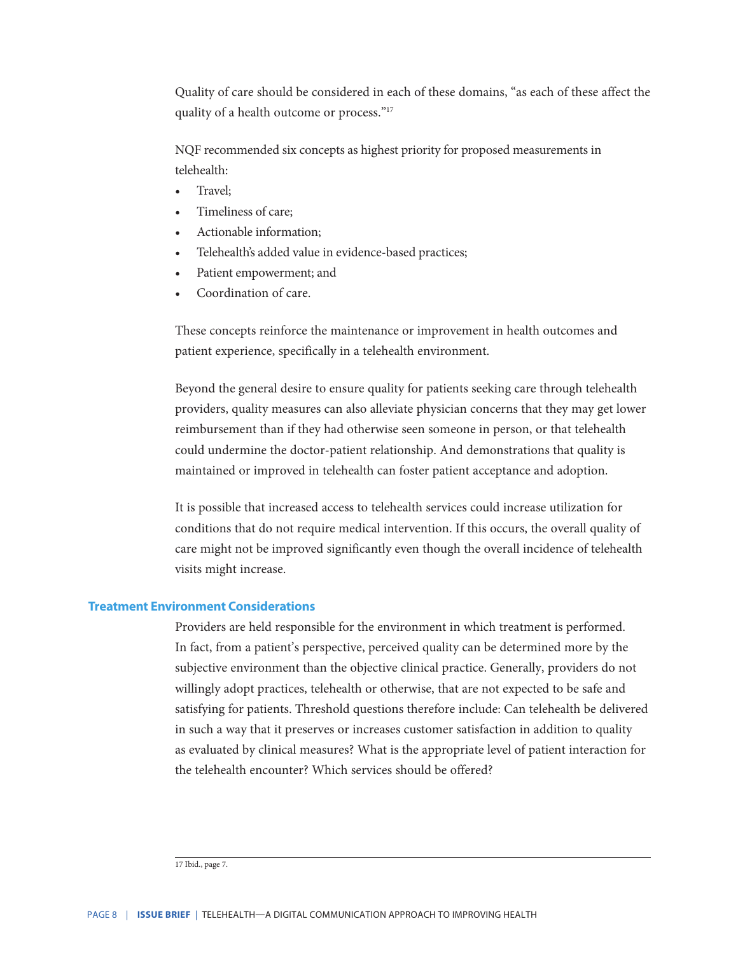Quality of care should be considered in each of these domains, "as each of these affect the quality of a health outcome or process."17

NQF recommended six concepts as highest priority for proposed measurements in telehealth:

- Travel;
- Timeliness of care;
- Actionable information;
- Telehealth's added value in evidence-based practices;
- Patient empowerment; and
- Coordination of care.

These concepts reinforce the maintenance or improvement in health outcomes and patient experience, specifically in a telehealth environment.

Beyond the general desire to ensure quality for patients seeking care through telehealth providers, quality measures can also alleviate physician concerns that they may get lower reimbursement than if they had otherwise seen someone in person, or that telehealth could undermine the doctor-patient relationship. And demonstrations that quality is maintained or improved in telehealth can foster patient acceptance and adoption.

It is possible that increased access to telehealth services could increase utilization for conditions that do not require medical intervention. If this occurs, the overall quality of care might not be improved significantly even though the overall incidence of telehealth visits might increase.

#### **Treatment Environment Considerations**

Providers are held responsible for the environment in which treatment is performed. In fact, from a patient's perspective, perceived quality can be determined more by the subjective environment than the objective clinical practice. Generally, providers do not willingly adopt practices, telehealth or otherwise, that are not expected to be safe and satisfying for patients. Threshold questions therefore include: Can telehealth be delivered in such a way that it preserves or increases customer satisfaction in addition to quality as evaluated by clinical measures? What is the appropriate level of patient interaction for the telehealth encounter? Which services should be offered?

<sup>17</sup> Ibid., page 7.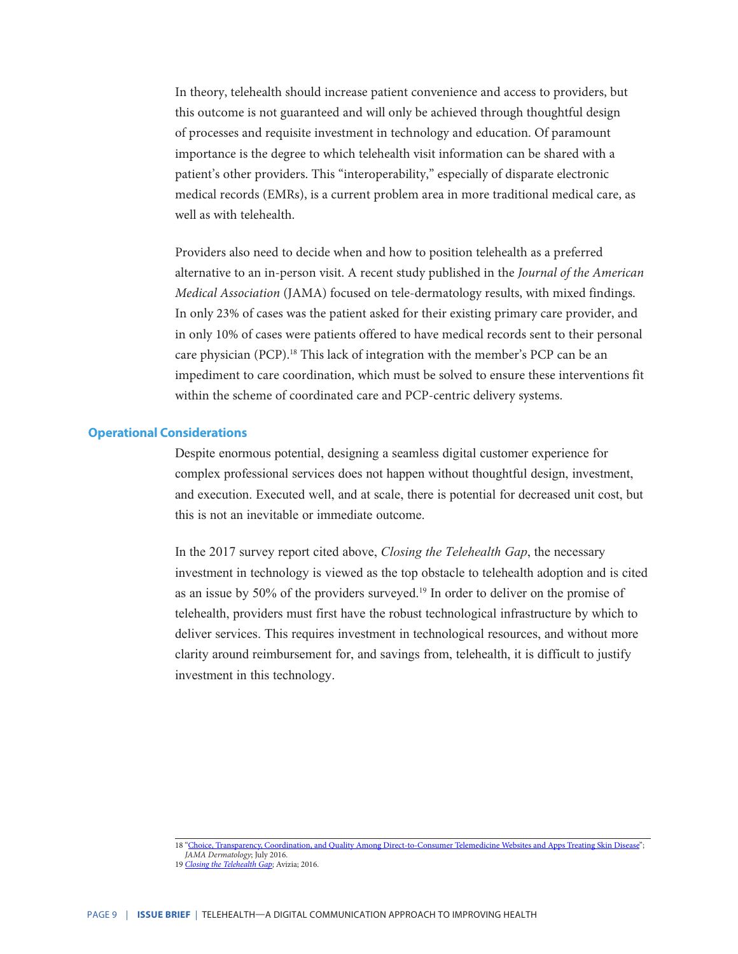In theory, telehealth should increase patient convenience and access to providers, but this outcome is not guaranteed and will only be achieved through thoughtful design of processes and requisite investment in technology and education. Of paramount importance is the degree to which telehealth visit information can be shared with a patient's other providers. This "interoperability," especially of disparate electronic medical records (EMRs), is a current problem area in more traditional medical care, as well as with telehealth.

Providers also need to decide when and how to position telehealth as a preferred alternative to an in-person visit. A recent study published in the *Journal of the American Medical Association* (JAMA) focused on tele-dermatology results, with mixed findings. In only 23% of cases was the patient asked for their existing primary care provider, and in only 10% of cases were patients offered to have medical records sent to their personal care physician (PCP).<sup>18</sup> This lack of integration with the member's PCP can be an impediment to care coordination, which must be solved to ensure these interventions fit within the scheme of coordinated care and PCP-centric delivery systems.

#### **Operational Considerations**

Despite enormous potential, designing a seamless digital customer experience for complex professional services does not happen without thoughtful design, investment, and execution. Executed well, and at scale, there is potential for decreased unit cost, but this is not an inevitable or immediate outcome.

In the 2017 survey report cited above, *Closing the Telehealth Gap*, the necessary investment in technology is viewed as the top obstacle to telehealth adoption and is cited as an issue by 50% of the providers surveyed.19 In order to deliver on the promise of telehealth, providers must first have the robust technological infrastructure by which to deliver services. This requires investment in technological resources, and without more clarity around reimbursement for, and savings from, telehealth, it is difficult to justify investment in this technology.

<sup>18</sup> ["Choice, Transparency, Coordination, and Quality Among Direct-to-Consumer Telemedicine Websites and Apps Treating Skin Disease](https://jamanetwork.com/journals/jamadermatology/fullarticle/2522336)"; *JAMA Dermatology*; July 2016.

<sup>19</sup> *[Closing the Telehealth Gap](http://www.customonline.com/assets/Closing-the-Telehealth-Gap.pdf)*; Avizia; 2016.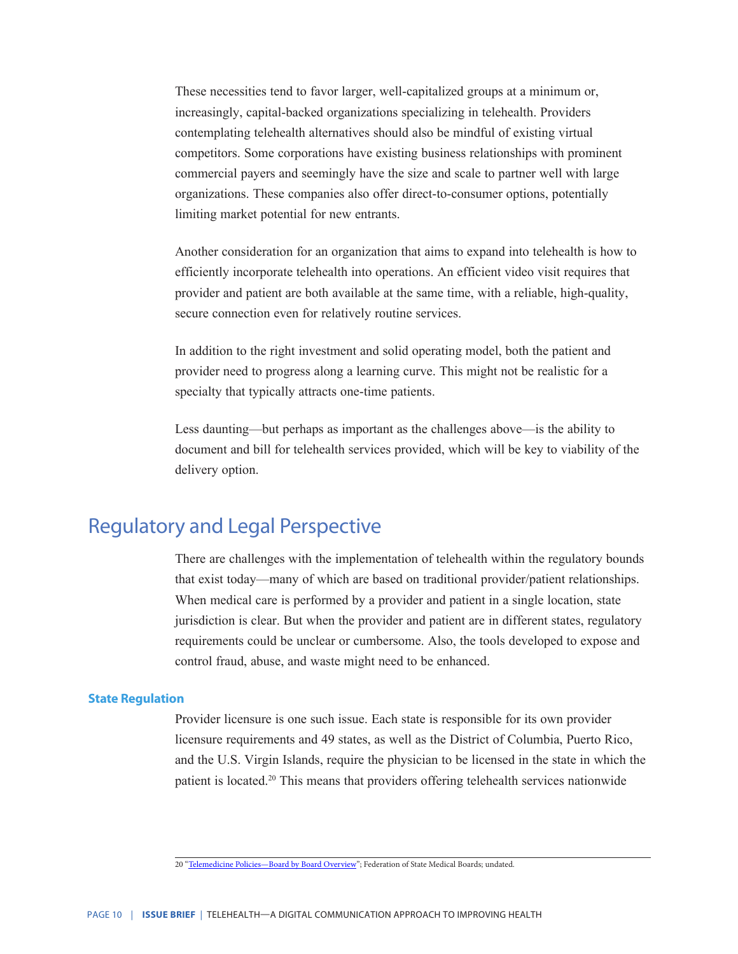These necessities tend to favor larger, well-capitalized groups at a minimum or, increasingly, capital-backed organizations specializing in telehealth. Providers contemplating telehealth alternatives should also be mindful of existing virtual competitors. Some corporations have existing business relationships with prominent commercial payers and seemingly have the size and scale to partner well with large organizations. These companies also offer direct-to-consumer options, potentially limiting market potential for new entrants.

Another consideration for an organization that aims to expand into telehealth is how to efficiently incorporate telehealth into operations. An efficient video visit requires that provider and patient are both available at the same time, with a reliable, high-quality, secure connection even for relatively routine services.

In addition to the right investment and solid operating model, both the patient and provider need to progress along a learning curve. This might not be realistic for a specialty that typically attracts one-time patients.

Less daunting—but perhaps as important as the challenges above—is the ability to document and bill for telehealth services provided, which will be key to viability of the delivery option.

### Regulatory and Legal Perspective

There are challenges with the implementation of telehealth within the regulatory bounds that exist today—many of which are based on traditional provider/patient relationships. When medical care is performed by a provider and patient in a single location, state jurisdiction is clear. But when the provider and patient are in different states, regulatory requirements could be unclear or cumbersome. Also, the tools developed to expose and control fraud, abuse, and waste might need to be enhanced.

#### **State Regulation**

Provider licensure is one such issue. Each state is responsible for its own provider licensure requirements and 49 states, as well as the District of Columbia, Puerto Rico, and the U.S. Virgin Islands, require the physician to be licensed in the state in which the patient is located.20 This means that providers offering telehealth services nationwide

<sup>20 &</sup>quot;Telemedicine Policies-Board by Board Overview"; Federation of State Medical Boards; undated.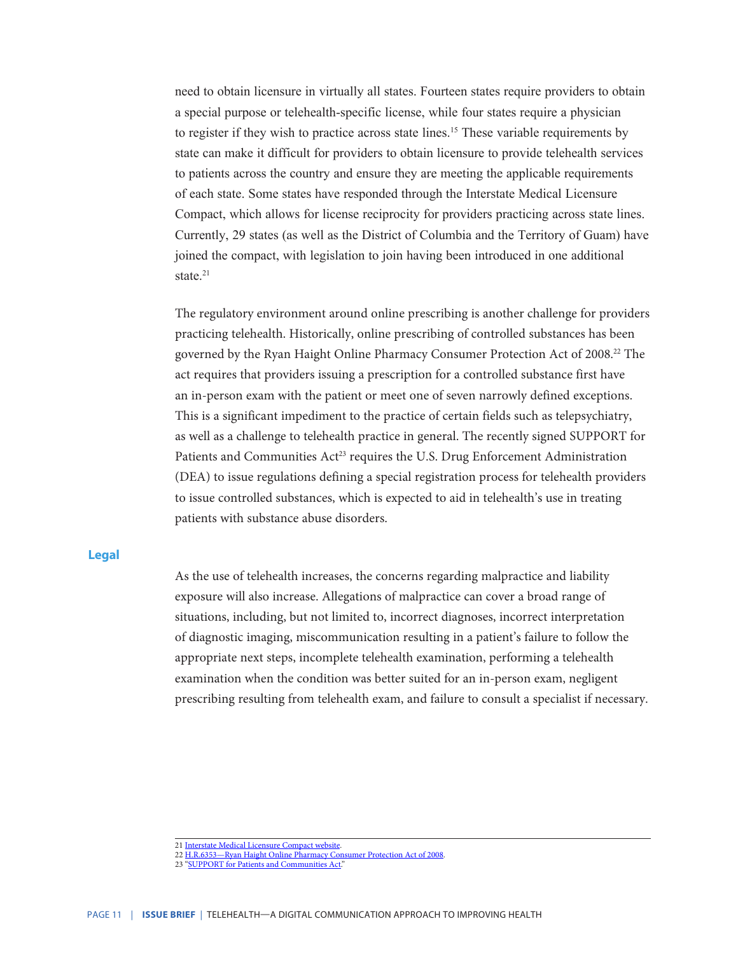need to obtain licensure in virtually all states. Fourteen states require providers to obtain a special purpose or telehealth-specific license, while four states require a physician to register if they wish to practice across state lines.<sup>15</sup> These variable requirements by state can make it difficult for providers to obtain licensure to provide telehealth services to patients across the country and ensure they are meeting the applicable requirements of each state. Some states have responded through the Interstate Medical Licensure Compact, which allows for license reciprocity for providers practicing across state lines. Currently, 29 states (as well as the District of Columbia and the Territory of Guam) have joined the compact, with legislation to join having been introduced in one additional state $21$ 

The regulatory environment around online prescribing is another challenge for providers practicing telehealth. Historically, online prescribing of controlled substances has been governed by the Ryan Haight Online Pharmacy Consumer Protection Act of 2008.22 The act requires that providers issuing a prescription for a controlled substance first have an in-person exam with the patient or meet one of seven narrowly defined exceptions. This is a significant impediment to the practice of certain fields such as telepsychiatry, as well as a challenge to telehealth practice in general. The recently signed SUPPORT for Patients and Communities Act<sup>23</sup> requires the U.S. Drug Enforcement Administration (DEA) to issue regulations defining a special registration process for telehealth providers to issue controlled substances, which is expected to aid in telehealth's use in treating patients with substance abuse disorders.

#### **Legal**

As the use of telehealth increases, the concerns regarding malpractice and liability exposure will also increase. Allegations of malpractice can cover a broad range of situations, including, but not limited to, incorrect diagnoses, incorrect interpretation of diagnostic imaging, miscommunication resulting in a patient's failure to follow the appropriate next steps, incomplete telehealth examination, performing a telehealth examination when the condition was better suited for an in-person exam, negligent prescribing resulting from telehealth exam, and failure to consult a specialist if necessary.

<sup>21</sup> [Interstate Medical Licensure Compact website](https://imlcc.org/).

<sup>22</sup> [H.R.6353—Ryan Haight Online Pharmacy Consumer Protection Act of 2008.](https://www.congress.gov/bill/110th-congress/house-bill/6353/text)

<sup>23</sup> ["SUPPORT for Patients and Communities Act.](https://www.congress.gov/115/bills/hr6/BILLS-115hr6enr.pdf)"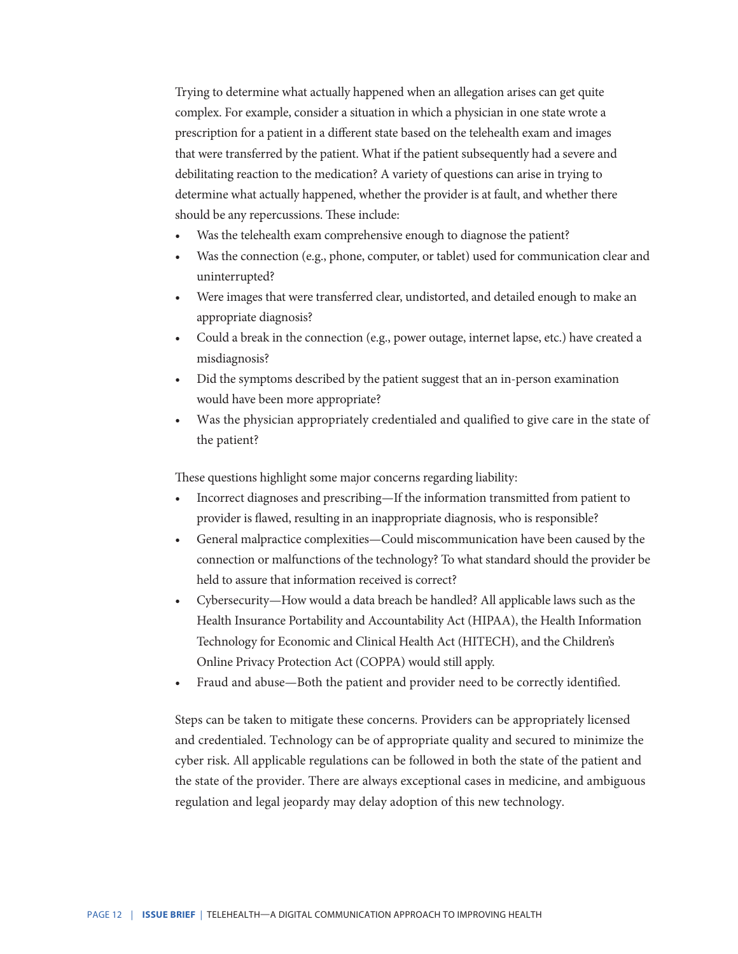Trying to determine what actually happened when an allegation arises can get quite complex. For example, consider a situation in which a physician in one state wrote a prescription for a patient in a different state based on the telehealth exam and images that were transferred by the patient. What if the patient subsequently had a severe and debilitating reaction to the medication? A variety of questions can arise in trying to determine what actually happened, whether the provider is at fault, and whether there should be any repercussions. These include:

- Was the telehealth exam comprehensive enough to diagnose the patient?
- Was the connection (e.g., phone, computer, or tablet) used for communication clear and uninterrupted?
- Were images that were transferred clear, undistorted, and detailed enough to make an appropriate diagnosis?
- Could a break in the connection (e.g., power outage, internet lapse, etc.) have created a misdiagnosis?
- Did the symptoms described by the patient suggest that an in-person examination would have been more appropriate?
- Was the physician appropriately credentialed and qualified to give care in the state of the patient?

These questions highlight some major concerns regarding liability:

- Incorrect diagnoses and prescribing—If the information transmitted from patient to provider is flawed, resulting in an inappropriate diagnosis, who is responsible?
- General malpractice complexities—Could miscommunication have been caused by the connection or malfunctions of the technology? To what standard should the provider be held to assure that information received is correct?
- Cybersecurity—How would a data breach be handled? All applicable laws such as the Health Insurance Portability and Accountability Act (HIPAA), the Health Information Technology for Economic and Clinical Health Act (HITECH), and the Children's Online Privacy Protection Act (COPPA) would still apply.
- Fraud and abuse—Both the patient and provider need to be correctly identified.

Steps can be taken to mitigate these concerns. Providers can be appropriately licensed and credentialed. Technology can be of appropriate quality and secured to minimize the cyber risk. All applicable regulations can be followed in both the state of the patient and the state of the provider. There are always exceptional cases in medicine, and ambiguous regulation and legal jeopardy may delay adoption of this new technology.